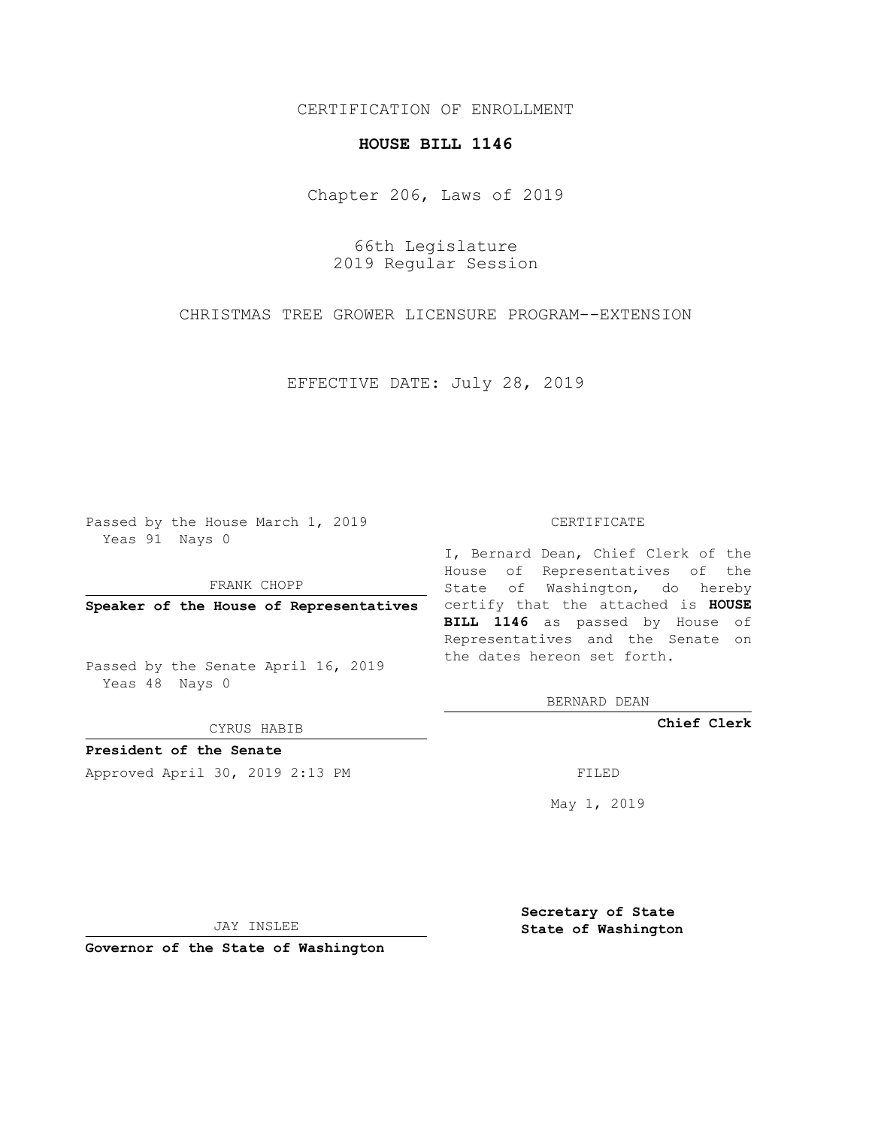## CERTIFICATION OF ENROLLMENT

## **HOUSE BILL 1146**

Chapter 206, Laws of 2019

66th Legislature 2019 Regular Session

CHRISTMAS TREE GROWER LICENSURE PROGRAM--EXTENSION

EFFECTIVE DATE: July 28, 2019

Passed by the House March 1, 2019 Yeas 91 Nays 0

FRANK CHOPP

Passed by the Senate April 16, 2019 Yeas 48 Nays 0

CYRUS HABIB

**President of the Senate**

Approved April 30, 2019 2:13 PM FILED

## CERTIFICATE

**Speaker of the House of Representatives** certify that the attached is **HOUSE** I, Bernard Dean, Chief Clerk of the House of Representatives of the State of Washington, do hereby **BILL 1146** as passed by House of Representatives and the Senate on the dates hereon set forth.

BERNARD DEAN

**Chief Clerk**

May 1, 2019

JAY INSLEE

**Governor of the State of Washington**

**Secretary of State State of Washington**